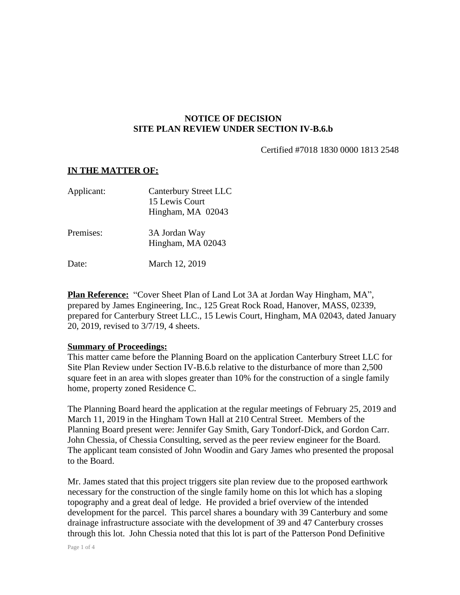## **NOTICE OF DECISION SITE PLAN REVIEW UNDER SECTION IV-B.6.b**

Certified #7018 1830 0000 1813 2548

## **IN THE MATTER OF:**

| Applicant: | <b>Canterbury Street LLC</b><br>15 Lewis Court<br>Hingham, MA 02043 |
|------------|---------------------------------------------------------------------|
| Premises:  | 3A Jordan Way<br>Hingham, MA 02043                                  |
| Date:      | March 12, 2019                                                      |

**Plan Reference:** "Cover Sheet Plan of Land Lot 3A at Jordan Way Hingham, MA", prepared by James Engineering, Inc., 125 Great Rock Road, Hanover, MASS, 02339, prepared for Canterbury Street LLC., 15 Lewis Court, Hingham, MA 02043, dated January 20, 2019, revised to 3/7/19, 4 sheets.

## **Summary of Proceedings:**

This matter came before the Planning Board on the application Canterbury Street LLC for Site Plan Review under Section IV-B.6.b relative to the disturbance of more than 2,500 square feet in an area with slopes greater than 10% for the construction of a single family home, property zoned Residence C.

The Planning Board heard the application at the regular meetings of February 25, 2019 and March 11, 2019 in the Hingham Town Hall at 210 Central Street. Members of the Planning Board present were: Jennifer Gay Smith, Gary Tondorf-Dick, and Gordon Carr. John Chessia, of Chessia Consulting, served as the peer review engineer for the Board. The applicant team consisted of John Woodin and Gary James who presented the proposal to the Board.

Mr. James stated that this project triggers site plan review due to the proposed earthwork necessary for the construction of the single family home on this lot which has a sloping topography and a great deal of ledge. He provided a brief overview of the intended development for the parcel. This parcel shares a boundary with 39 Canterbury and some drainage infrastructure associate with the development of 39 and 47 Canterbury crosses through this lot. John Chessia noted that this lot is part of the Patterson Pond Definitive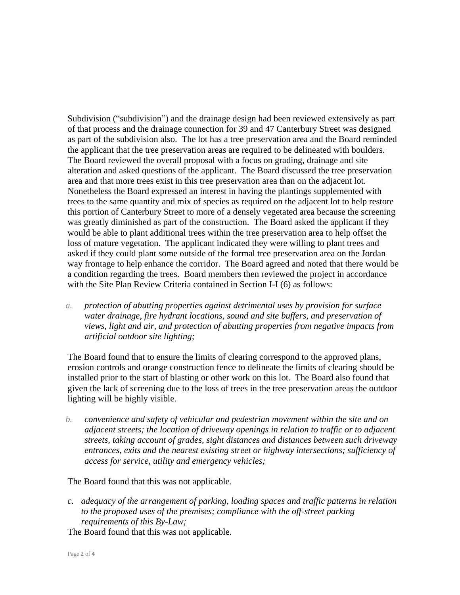Subdivision ("subdivision") and the drainage design had been reviewed extensively as part of that process and the drainage connection for 39 and 47 Canterbury Street was designed as part of the subdivision also. The lot has a tree preservation area and the Board reminded the applicant that the tree preservation areas are required to be delineated with boulders. The Board reviewed the overall proposal with a focus on grading, drainage and site alteration and asked questions of the applicant. The Board discussed the tree preservation area and that more trees exist in this tree preservation area than on the adjacent lot. Nonetheless the Board expressed an interest in having the plantings supplemented with trees to the same quantity and mix of species as required on the adjacent lot to help restore this portion of Canterbury Street to more of a densely vegetated area because the screening was greatly diminished as part of the construction. The Board asked the applicant if they would be able to plant additional trees within the tree preservation area to help offset the loss of mature vegetation. The applicant indicated they were willing to plant trees and asked if they could plant some outside of the formal tree preservation area on the Jordan way frontage to help enhance the corridor. The Board agreed and noted that there would be a condition regarding the trees. Board members then reviewed the project in accordance with the Site Plan Review Criteria contained in Section I-I (6) as follows:

*a. protection of abutting properties against detrimental uses by provision for surface water drainage, fire hydrant locations, sound and site buffers, and preservation of views, light and air, and protection of abutting properties from negative impacts from artificial outdoor site lighting;*

The Board found that to ensure the limits of clearing correspond to the approved plans, erosion controls and orange construction fence to delineate the limits of clearing should be installed prior to the start of blasting or other work on this lot. The Board also found that given the lack of screening due to the loss of trees in the tree preservation areas the outdoor lighting will be highly visible.

*b. convenience and safety of vehicular and pedestrian movement within the site and on adjacent streets; the location of driveway openings in relation to traffic or to adjacent streets, taking account of grades, sight distances and distances between such driveway entrances, exits and the nearest existing street or highway intersections; sufficiency of access for service, utility and emergency vehicles;*

The Board found that this was not applicable.

*c. adequacy of the arrangement of parking, loading spaces and traffic patterns in relation to the proposed uses of the premises; compliance with the off-street parking requirements of this By-Law;*

The Board found that this was not applicable.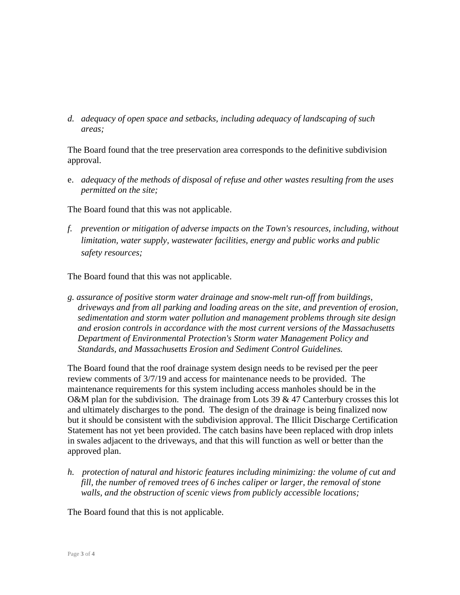*d. adequacy of open space and setbacks, including adequacy of landscaping of such areas;*

The Board found that the tree preservation area corresponds to the definitive subdivision approval.

e. *adequacy of the methods of disposal of refuse and other wastes resulting from the uses permitted on the site;*

The Board found that this was not applicable.

*f. prevention or mitigation of adverse impacts on the Town's resources, including, without limitation, water supply, wastewater facilities, energy and public works and public safety resources;*

The Board found that this was not applicable.

*g. assurance of positive storm water drainage and snow-melt run-off from buildings, driveways and from all parking and loading areas on the site, and prevention of erosion, sedimentation and storm water pollution and management problems through site design and erosion controls in accordance with the most current versions of the Massachusetts Department of Environmental Protection's Storm water Management Policy and Standards, and Massachusetts Erosion and Sediment Control Guidelines.*

The Board found that the roof drainage system design needs to be revised per the peer review comments of 3/7/19 and access for maintenance needs to be provided. The maintenance requirements for this system including access manholes should be in the O&M plan for the subdivision. The drainage from Lots 39 & 47 Canterbury crosses this lot and ultimately discharges to the pond. The design of the drainage is being finalized now but it should be consistent with the subdivision approval. The Illicit Discharge Certification Statement has not yet been provided. The catch basins have been replaced with drop inlets in swales adjacent to the driveways, and that this will function as well or better than the approved plan.

*h. protection of natural and historic features including minimizing: the volume of cut and fill, the number of removed trees of 6 inches caliper or larger, the removal of stone walls, and the obstruction of scenic views from publicly accessible locations;*

The Board found that this is not applicable.